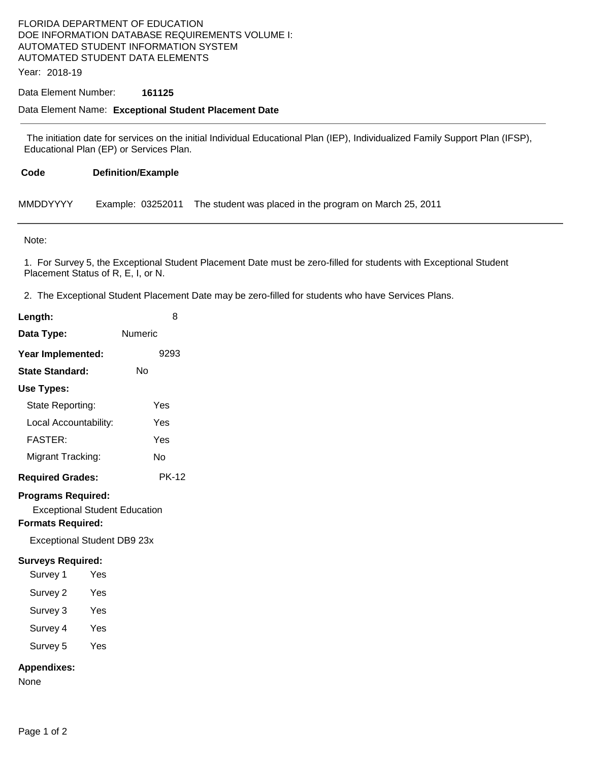# FLORIDA DEPARTMENT OF EDUCATION DOE INFORMATION DATABASE REQUIREMENTS VOLUME I: AUTOMATED STUDENT INFORMATION SYSTEM AUTOMATED STUDENT DATA ELEMENTS

Year: 2018-19

### Data Element Number: **161125**

#### Data Element Name: **Exceptional Student Placement Date**

 The initiation date for services on the initial Individual Educational Plan (IEP), Individualized Family Support Plan (IFSP), Educational Plan (EP) or Services Plan.

| Code | <b>Definition/Example</b> |  |
|------|---------------------------|--|
|      |                           |  |

| MMDDYYYY |  | Example: 03252011 The student was placed in the program on March 25, 2011 |
|----------|--|---------------------------------------------------------------------------|
|----------|--|---------------------------------------------------------------------------|

Note:

1. For Survey 5, the Exceptional Student Placement Date must be zero-filled for students with Exceptional Student Placement Status of R, E, I, or N.

2. The Exceptional Student Placement Date may be zero-filled for students who have Services Plans.

| Length:                                                                                       | 8            |  |  |  |
|-----------------------------------------------------------------------------------------------|--------------|--|--|--|
| Data Type:                                                                                    | Numeric      |  |  |  |
| Year Implemented:                                                                             | 9293         |  |  |  |
| State Standard:                                                                               | Nο           |  |  |  |
| Use Types:                                                                                    |              |  |  |  |
| State Reporting:                                                                              | Yes          |  |  |  |
| Local Accountability:                                                                         | Yes          |  |  |  |
| <b>FASTER:</b>                                                                                | Yes          |  |  |  |
| Migrant Tracking:                                                                             | No           |  |  |  |
| <b>Required Grades:</b>                                                                       | <b>PK-12</b> |  |  |  |
| <b>Programs Required:</b><br><b>Exceptional Student Education</b><br><b>Formats Required:</b> |              |  |  |  |
| Exceptional Student DB9 23x                                                                   |              |  |  |  |
| <b>Surveys Required:</b><br>Survey 1                                                          | Yes          |  |  |  |
| Survey 2                                                                                      | Yes          |  |  |  |
| Survey 3                                                                                      | Yes          |  |  |  |
| Survey 4                                                                                      | Yes          |  |  |  |
| Survey 5                                                                                      | Yes          |  |  |  |

### **Appendixes:**

None